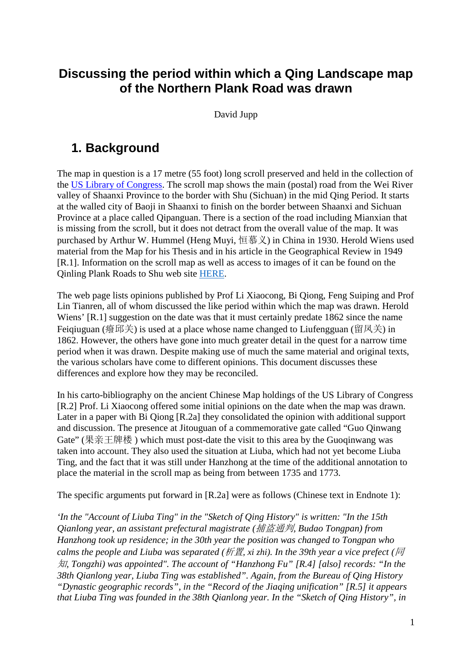### **Discussing the period within which a Qing Landscape map of the Northern Plank Road was drawn**

David Jupp

### **1. Background**

The map in question is a 17 metre (55 foot) long scroll preserved and held in the collection of the [US Library of Congress.](http://www.loc.gov/) The scroll map shows the main (postal) road from the Wei River valley of Shaanxi Province to the border with Shu (Sichuan) in the mid Qing Period. It starts at the walled city of Baoji in Shaanxi to finish on the border between Shaanxi and Sichuan Province at a place called Qipanguan. There is a section of the road including Mianxian that is missing from the scroll, but it does not detract from the overall value of the map. It was purchased by Arthur W. Hummel (Heng Muyi, 恒慕义) in China in 1930. Herold Wiens used material from the Map for his Thesis and in his article in the Geographical Review in 1949 [R.1]. Information on the scroll map as well as access to images of it can be found on the Qinling Plank Roads to Shu web site [HERE.](http://www.qinshuroads.org/LOC_Scroll_web/LOC_Scroll.htm)

The web page lists opinions published by Prof Li Xiaocong, Bi Qiong, Feng Suiping and Prof Lin Tianren, all of whom discussed the like period within which the map was drawn. Herold Wiens' [R.1] suggestion on the date was that it must certainly predate 1862 since the name Feigiuguan (癈邱关) is used at a place whose name changed to Liufengguan (留凤关) in 1862. However, the others have gone into much greater detail in the quest for a narrow time period when it was drawn. Despite making use of much the same material and original texts, the various scholars have come to different opinions. This document discusses these differences and explore how they may be reconciled.

In his carto-bibliography on the ancient Chinese Map holdings of the US Library of Congress [R.2] Prof. Li Xiaocong offered some initial opinions on the date when the map was drawn. Later in a paper with Bi Qiong [R.2a] they consolidated the opinion with additional support and discussion. The presence at Jitouguan of a commemorative gate called "Guo Qinwang Gate" (果亲王牌楼 ) which must post-date the visit to this area by the Guoqinwang was taken into account. They also used the situation at Liuba, which had not yet become Liuba Ting, and the fact that it was still under Hanzhong at the time of the additional annotation to place the material in the scroll map as being from between 1735 and 1773.

The specific arguments put forward in [R.2a] were as follows (Chinese text in Endnote 1):

*'In the "Account of Liuba Ting" in the "Sketch of Qing History" is written: "In the 15th Qianlong year, an assistant prefectural magistrate (*捕盗通判*, Budao Tongpan) from Hanzhong took up residence; in the 30th year the position was changed to Tongpan who calms the people and Liuba was separated (*析置*, xi zhi). In the 39th year a vice prefect (*同 知*, Tongzhi) was appointed". The account of "Hanzhong Fu" [R.4] [also] records: "In the 38th Qianlong year, Liuba Ting was established". Again, from the Bureau of Qing History "Dynastic geographic records", in the "Record of the Jiaqing unification" [R.5] it appears that Liuba Ting was founded in the 38th Qianlong year. In the "Sketch of Qing History", in*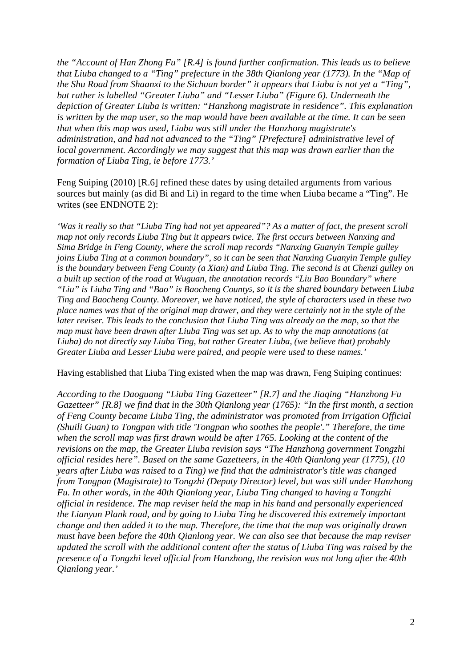*the "Account of Han Zhong Fu" [R.4] is found further confirmation. This leads us to believe that Liuba changed to a "Ting" prefecture in the 38th Qianlong year (1773). In the "Map of the Shu Road from Shaanxi to the Sichuan border" it appears that Liuba is not yet a "Ting", but rather is labelled "Greater Liuba" and "Lesser Liuba" (Figure 6). Underneath the depiction of Greater Liuba is written: "Hanzhong magistrate in residence". This explanation is written by the map user, so the map would have been available at the time. It can be seen that when this map was used, Liuba was still under the Hanzhong magistrate's administration, and had not advanced to the "Ting" [Prefecture] administrative level of local government. Accordingly we may suggest that this map was drawn earlier than the formation of Liuba Ting, ie before 1773.'*

Feng Suiping (2010) [R.6] refined these dates by using detailed arguments from various sources but mainly (as did Bi and Li) in regard to the time when Liuba became a "Ting". He writes (see ENDNOTE 2):

*'Was it really so that "Liuba Ting had not yet appeared"? As a matter of fact, the present scroll map not only records Liuba Ting but it appears twice. The first occurs between Nanxing and Sima Bridge in Feng County, where the scroll map records "Nanxing Guanyin Temple gulley joins Liuba Ting at a common boundary", so it can be seen that Nanxing Guanyin Temple gulley is the boundary between Feng County (a Xian) and Liuba Ting. The second is at Chenzi gulley on a built up section of the road at Wuguan, the annotation records "Liu Bao Boundary" where "Liu" is Liuba Ting and "Bao" is Baocheng County5, so it is the shared boundary between Liuba Ting and Baocheng County. Moreover, we have noticed, the style of characters used in these two place names was that of the original map drawer, and they were certainly not in the style of the later reviser. This leads to the conclusion that Liuba Ting was already on the map, so that the map must have been drawn after Liuba Ting was set up. As to why the map annotations (at Liuba) do not directly say Liuba Ting, but rather Greater Liuba, (we believe that) probably Greater Liuba and Lesser Liuba were paired, and people were used to these names.'*

Having established that Liuba Ting existed when the map was drawn, Feng Suiping continues:

*According to the Daoguang "Liuba Ting Gazetteer" [R.7] and the Jiaqing "Hanzhong Fu Gazetteer" [R.8] we find that in the 30th Qianlong year (1765): "In the first month, a section of Feng County became Liuba Ting, the administrator was promoted from Irrigation Official (Shuili Guan) to Tongpan with title 'Tongpan who soothes the people'." Therefore, the time when the scroll map was first drawn would be after 1765. Looking at the content of the revisions on the map, the Greater Liuba revision says "The Hanzhong government Tongzhi official resides here". Based on the same Gazetteers, in the 40th Qianlong year (1775), (10 years after Liuba was raised to a Ting) we find that the administrator's title was changed from Tongpan (Magistrate) to Tongzhi (Deputy Director) level, but was still under Hanzhong Fu. In other words, in the 40th Qianlong year, Liuba Ting changed to having a Tongzhi official in residence. The map reviser held the map in his hand and personally experienced the Lianyun Plank road, and by going to Liuba Ting he discovered this extremely important change and then added it to the map. Therefore, the time that the map was originally drawn must have been before the 40th Qianlong year. We can also see that because the map reviser updated the scroll with the additional content after the status of Liuba Ting was raised by the presence of a Tongzhi level official from Hanzhong, the revision was not long after the 40th Qianlong year.'*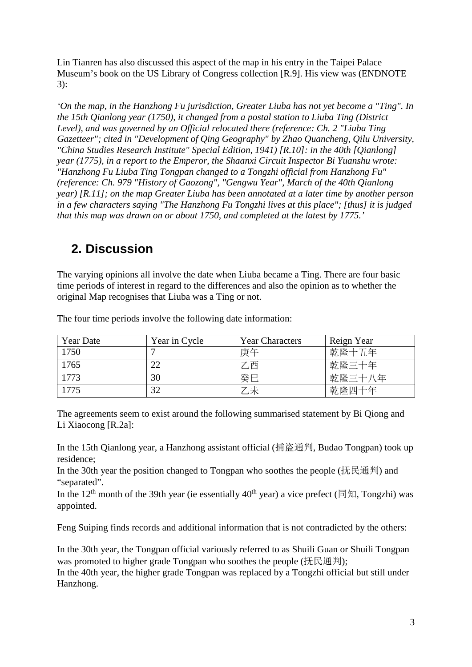Lin Tianren has also discussed this aspect of the map in his entry in the Taipei Palace Museum's book on the US Library of Congress collection [R.9]. His view was (ENDNOTE 3):

*'On the map, in the Hanzhong Fu jurisdiction, Greater Liuba has not yet become a "Ting". In the 15th Qianlong year (1750), it changed from a postal station to Liuba Ting (District Level), and was governed by an Official relocated there (reference: Ch. 2 "Liuba Ting Gazetteer"; cited in "Development of Qing Geography" by Zhao Quancheng, Qilu University, "China Studies Research Institute" Special Edition, 1941) [R.10]: in the 40th [Qianlong] year (1775), in a report to the Emperor, the Shaanxi Circuit Inspector Bi Yuanshu wrote: "Hanzhong Fu Liuba Ting Tongpan changed to a Tongzhi official from Hanzhong Fu" (reference: Ch. 979 "History of Gaozong", "Gengwu Year", March of the 40th Qianlong year) [R.11]; on the map Greater Liuba has been annotated at a later time by another person in a few characters saying "The Hanzhong Fu Tongzhi lives at this place"; [thus] it is judged that this map was drawn on or about 1750, and completed at the latest by 1775.'*

## **2. Discussion**

The varying opinions all involve the date when Liuba became a Ting. There are four basic time periods of interest in regard to the differences and also the opinion as to whether the original Map recognises that Liuba was a Ting or not.

| <b>Year Date</b> | Year in Cycle | <b>Year Characters</b> | Reign Year |
|------------------|---------------|------------------------|------------|
| 1750             |               | 庚午                     | 乾隆十五年      |
| 1765             | 22            | 乙酉                     | 乾隆三十年      |
| 1773             | 30            | 癸巳                     | 乾隆三十八年     |
| 1775             | 32            | △未                     | 乾隆四十年      |

The four time periods involve the following date information:

The agreements seem to exist around the following summarised statement by Bi Qiong and Li Xiaocong [R.2a]:

In the 15th Qianlong year, a Hanzhong assistant official (捕盗通判, Budao Tongpan) took up residence;

In the 30th year the position changed to Tongpan who soothes the people (抚民通判) and "separated".

In the 12<sup>th</sup> month of the 39th year (ie essentially 40<sup>th</sup> year) a vice prefect (同知, Tongzhi) was appointed.

Feng Suiping finds records and additional information that is not contradicted by the others:

In the 30th year, the Tongpan official variously referred to as Shuili Guan or Shuili Tongpan was promoted to higher grade Tongpan who soothes the people (抚民通判);

In the 40th year, the higher grade Tongpan was replaced by a Tongzhi official but still under Hanzhong.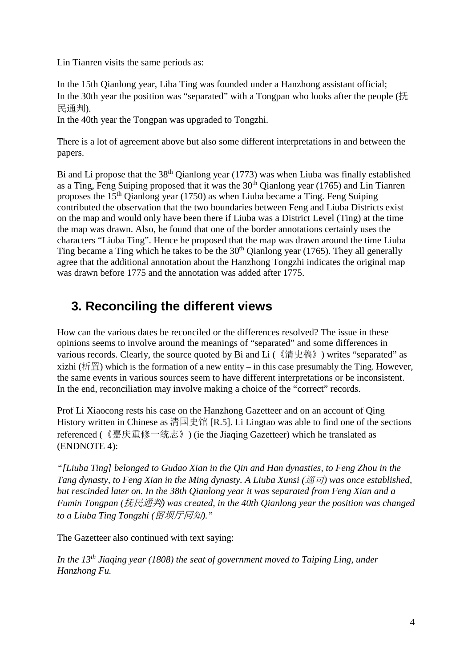Lin Tianren visits the same periods as:

In the 15th Qianlong year, Liba Ting was founded under a Hanzhong assistant official; In the 30th year the position was "separated" with a Tongpan who looks after the people ( $\ddagger$ ). 民通判).

In the 40th year the Tongpan was upgraded to Tongzhi.

There is a lot of agreement above but also some different interpretations in and between the papers.

Bi and Li propose that the 38<sup>th</sup> Qianlong year (1773) was when Liuba was finally established as a Ting, Feng Suiping proposed that it was the  $30<sup>th</sup>$  Qianlong year (1765) and Lin Tianren proposes the 15th Qianlong year (1750) as when Liuba became a Ting. Feng Suiping contributed the observation that the two boundaries between Feng and Liuba Districts exist on the map and would only have been there if Liuba was a District Level (Ting) at the time the map was drawn. Also, he found that one of the border annotations certainly uses the characters "Liuba Ting". Hence he proposed that the map was drawn around the time Liuba Ting became a Ting which he takes to be the  $30<sup>th</sup>$  Qianlong year (1765). They all generally agree that the additional annotation about the Hanzhong Tongzhi indicates the original map was drawn before 1775 and the annotation was added after 1775.

# **3. Reconciling the different views**

How can the various dates be reconciled or the differences resolved? The issue in these opinions seems to involve around the meanings of "separated" and some differences in various records. Clearly, the source quoted by Bi and Li (《清史稿》) writes "separated" as xizhi (析置) which is the formation of a new entity – in this case presumably the Ting. However, the same events in various sources seem to have different interpretations or be inconsistent. In the end, reconciliation may involve making a choice of the "correct" records.

Prof Li Xiaocong rests his case on the Hanzhong Gazetteer and on an account of Qing History written in Chinese as 清国史馆 [R.5]. Li Lingtao was able to find one of the sections referenced (《嘉庆重修一统志》) (ie the Jiaqing Gazetteer) which he translated as (ENDNOTE 4):

*"[Liuba Ting] belonged to Gudao Xian in the Qin and Han dynasties, to Feng Zhou in the Tang dynasty, to Feng Xian in the Ming dynasty. A Liuba Xunsi (*巡司*) was once established, but rescinded later on. In the 38th Qianlong year it was separated from Feng Xian and a Fumin Tongpan (*抚民通判*) was created, in the 40th Qianlong year the position was changed to a Liuba Ting Tongzhi (*留坝厅同知*)."*

The Gazetteer also continued with text saying:

*In the 13th Jiaqing year (1808) the seat of government moved to Taiping Ling, under Hanzhong Fu.*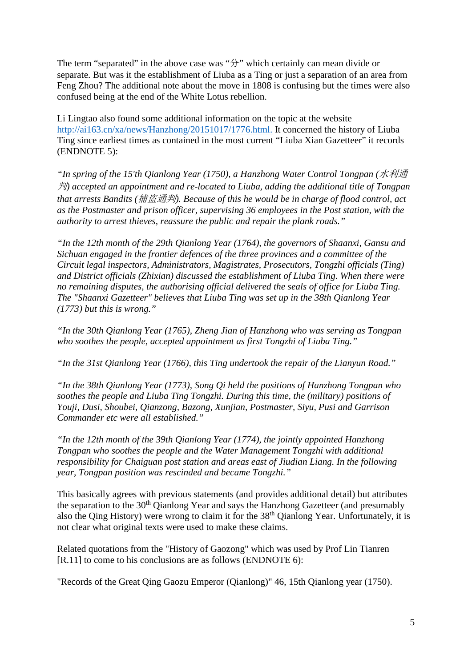The term "separated" in the above case was "分" which certainly can mean divide or separate. But was it the establishment of Liuba as a Ting or just a separation of an area from Feng Zhou? The additional note about the move in 1808 is confusing but the times were also confused being at the end of the White Lotus rebellion.

Li Lingtao also found some additional information on the topic at the website [http://ai163.cn/xa/news/Hanzhong/20151017/1776.html.](http://ai163.cn/xa/news/Hanzhong/20151017/1776.html) It concerned the history of Liuba Ting since earliest times as contained in the most current "Liuba Xian Gazetteer" it records (ENDNOTE 5):

*"In spring of the 15'th Qianlong Year (1750), a Hanzhong Water Control Tongpan (*水利通 判*) accepted an appointment and re-located to Liuba, adding the additional title of Tongpan that arrests Bandits (*捕盗通判*). Because of this he would be in charge of flood control, act as the Postmaster and prison officer, supervising 36 employees in the Post station, with the authority to arrest thieves, reassure the public and repair the plank roads."*

*"In the 12th month of the 29th Qianlong Year (1764), the governors of Shaanxi, Gansu and Sichuan engaged in the frontier defences of the three provinces and a committee of the Circuit legal inspectors, Administrators, Magistrates, Prosecutors, Tongzhi officials (Ting) and District officials (Zhixian) discussed the establishment of Liuba Ting. When there were no remaining disputes, the authorising official delivered the seals of office for Liuba Ting. The "Shaanxi Gazetteer" believes that Liuba Ting was set up in the 38th Qianlong Year (1773) but this is wrong."*

*"In the 30th Qianlong Year (1765), Zheng Jian of Hanzhong who was serving as Tongpan who soothes the people, accepted appointment as first Tongzhi of Liuba Ting."*

*"In the 31st Qianlong Year (1766), this Ting undertook the repair of the Lianyun Road."*

*"In the 38th Qianlong Year (1773), Song Qi held the positions of Hanzhong Tongpan who soothes the people and Liuba Ting Tongzhi. During this time, the (military) positions of Youji, Dusi, Shoubei, Qianzong, Bazong, Xunjian, Postmaster, Siyu, Pusi and Garrison Commander etc were all established."*

*"In the 12th month of the 39th Qianlong Year (1774), the jointly appointed Hanzhong Tongpan who soothes the people and the Water Management Tongzhi with additional responsibility for Chaiguan post station and areas east of Jiudian Liang. In the following year, Tongpan position was rescinded and became Tongzhi."*

This basically agrees with previous statements (and provides additional detail) but attributes the separation to the 30<sup>th</sup> Qianlong Year and says the Hanzhong Gazetteer (and presumably also the Qing History) were wrong to claim it for the 38<sup>th</sup> Qianlong Year. Unfortunately, it is not clear what original texts were used to make these claims.

Related quotations from the "History of Gaozong" which was used by Prof Lin Tianren [R.11] to come to his conclusions are as follows (ENDNOTE 6):

"Records of the Great Qing Gaozu Emperor (Qianlong)" 46, 15th Qianlong year (1750).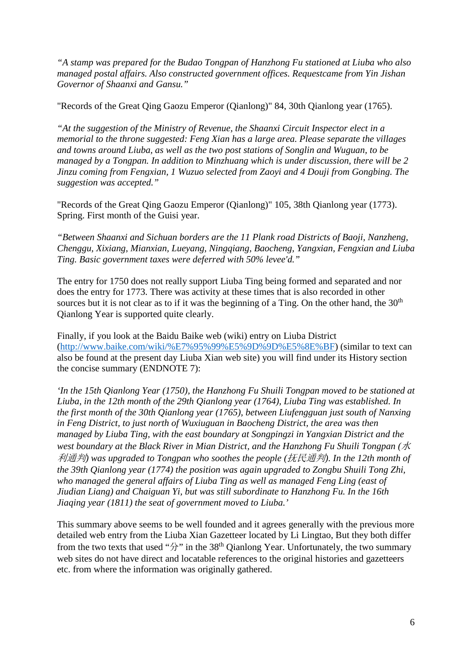*"A stamp was prepared for the Budao Tongpan of Hanzhong Fu stationed at Liuba who also managed postal affairs. Also constructed government offices. Requestcame from Yin Jishan Governor of Shaanxi and Gansu."*

"Records of the Great Qing Gaozu Emperor (Qianlong)" 84, 30th Qianlong year (1765).

*"At the suggestion of the Ministry of Revenue, the Shaanxi Circuit Inspector elect in a memorial to the throne suggested: Feng Xian has a large area. Please separate the villages and towns around Liuba, as well as the two post stations of Songlin and Wuguan, to be managed by a Tongpan. In addition to Minzhuang which is under discussion, there will be 2 Jinzu coming from Fengxian, 1 Wuzuo selected from Zaoyi and 4 Douji from Gongbing. The suggestion was accepted."*

"Records of the Great Qing Gaozu Emperor (Qianlong)" 105, 38th Qianlong year (1773). Spring. First month of the Guisi year.

*"Between Shaanxi and Sichuan borders are the 11 Plank road Districts of Baoji, Nanzheng, Chenggu, Xixiang, Mianxian, Lueyang, Ningqiang, Baocheng, Yangxian, Fengxian and Liuba Ting. Basic government taxes were deferred with 50% levee'd."*

The entry for 1750 does not really support Liuba Ting being formed and separated and nor does the entry for 1773. There was activity at these times that is also recorded in other sources but it is not clear as to if it was the beginning of a Ting. On the other hand, the  $30<sup>th</sup>$ Qianlong Year is supported quite clearly.

Finally, if you look at the Baidu Baike web (wiki) entry on Liuba District [\(http://www.baike.com/wiki/%E7%95%99%E5%9D%9D%E5%8E%BF\)](http://www.baike.com/wiki/%E7%95%99%E5%9D%9D%E5%8E%BF) (similar to text can also be found at the present day Liuba Xian web site) you will find under its History section the concise summary (ENDNOTE 7):

*'In the 15th Qianlong Year (1750), the Hanzhong Fu Shuili Tongpan moved to be stationed at Liuba, in the 12th month of the 29th Qianlong year (1764), Liuba Ting was established. In the first month of the 30th Qianlong year (1765), between Liufengguan just south of Nanxing in Feng District, to just north of Wuxiuguan in Baocheng District, the area was then managed by Liuba Ting, with the east boundary at Songpingzi in Yangxian District and the west boundary at the Black River in Mian District, and the Hanzhong Fu Shuili Tongpan (*水 利通判*) was upgraded to Tongpan who soothes the people (*抚民通判*). In the 12th month of the 39th Qianlong year (1774) the position was again upgraded to Zongbu Shuili Tong Zhi, who managed the general affairs of Liuba Ting as well as managed Feng Ling (east of Jiudian Liang) and Chaiguan Yi, but was still subordinate to Hanzhong Fu. In the 16th Jiaqing year (1811) the seat of government moved to Liuba.'*

This summary above seems to be well founded and it agrees generally with the previous more detailed web entry from the Liuba Xian Gazetteer located by Li Lingtao, But they both differ from the two texts that used " $\hat{D}$ " in the 38<sup>th</sup> Qianlong Year. Unfortunately, the two summary web sites do not have direct and locatable references to the original histories and gazetteers etc. from where the information was originally gathered.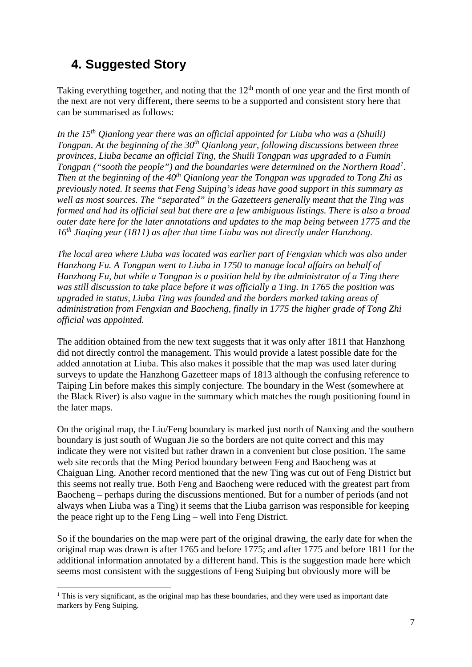## **4. Suggested Story**

Taking everything together, and noting that the  $12<sup>th</sup>$  month of one year and the first month of the next are not very different, there seems to be a supported and consistent story here that can be summarised as follows:

*In the 15th Qianlong year there was an official appointed for Liuba who was a (Shuili) Tongpan. At the beginning of the 30<sup>th</sup> Qianlong year, following discussions between three provinces, Liuba became an official Ting, the Shuili Tongpan was upgraded to a Fumin Tongpan ("sooth the people") and the boundaries were determined on the Northern Road[1](#page-6-0) . Then at the beginning of the 40th Qianlong year the Tongpan was upgraded to Tong Zhi as previously noted. It seems that Feng Suiping's ideas have good support in this summary as well as most sources. The "separated" in the Gazetteers generally meant that the Ting was formed and had its official seal but there are a few ambiguous listings. There is also a broad outer date here for the later annotations and updates to the map being between 1775 and the 16th Jiaqing year (1811) as after that time Liuba was not directly under Hanzhong.*

*The local area where Liuba was located was earlier part of Fengxian which was also under Hanzhong Fu. A Tongpan went to Liuba in 1750 to manage local affairs on behalf of Hanzhong Fu, but while a Tongpan is a position held by the administrator of a Ting there was still discussion to take place before it was officially a Ting. In 1765 the position was upgraded in status, Liuba Ting was founded and the borders marked taking areas of administration from Fengxian and Baocheng, finally in 1775 the higher grade of Tong Zhi official was appointed.* 

The addition obtained from the new text suggests that it was only after 1811 that Hanzhong did not directly control the management. This would provide a latest possible date for the added annotation at Liuba. This also makes it possible that the map was used later during surveys to update the Hanzhong Gazetteer maps of 1813 although the confusing reference to Taiping Lin before makes this simply conjecture. The boundary in the West (somewhere at the Black River) is also vague in the summary which matches the rough positioning found in the later maps.

On the original map, the Liu/Feng boundary is marked just north of Nanxing and the southern boundary is just south of Wuguan Jie so the borders are not quite correct and this may indicate they were not visited but rather drawn in a convenient but close position. The same web site records that the Ming Period boundary between Feng and Baocheng was at Chaiguan Ling. Another record mentioned that the new Ting was cut out of Feng District but this seems not really true. Both Feng and Baocheng were reduced with the greatest part from Baocheng – perhaps during the discussions mentioned. But for a number of periods (and not always when Liuba was a Ting) it seems that the Liuba garrison was responsible for keeping the peace right up to the Feng Ling – well into Feng District.

So if the boundaries on the map were part of the original drawing, the early date for when the original map was drawn is after 1765 and before 1775; and after 1775 and before 1811 for the additional information annotated by a different hand. This is the suggestion made here which seems most consistent with the suggestions of Feng Suiping but obviously more will be

<span id="page-6-0"></span> $1$ . This is very significant, as the original map has these boundaries, and they were used as important date markers by Feng Suiping.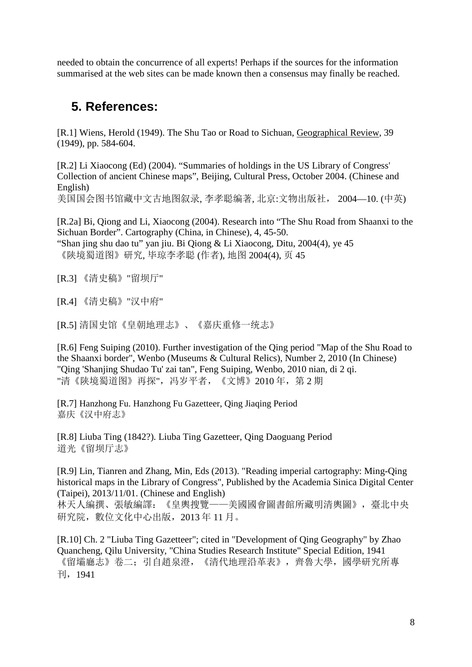needed to obtain the concurrence of all experts! Perhaps if the sources for the information summarised at the web sites can be made known then a consensus may finally be reached.

### **5. References:**

[R.1] Wiens, Herold (1949). The Shu Tao or Road to Sichuan, Geographical Review, 39 (1949), pp. 584-604.

[R.2] Li Xiaocong (Ed) (2004). "Summaries of holdings in the US Library of Congress' Collection of ancient Chinese maps", Beijing, Cultural Press, October 2004. (Chinese and English)

美国国会图书馆藏中文古地图叙录, 李孝聪编著, 北京:文物出版社, 2004—10. (中英)

[R.2a] Bi, Qiong and Li, Xiaocong (2004). Research into "The Shu Road from Shaanxi to the Sichuan Border". Cartography (China, in Chinese), 4, 45-50. "Shan jing shu dao tu" yan jiu. Bi Qiong & Li Xiaocong, Ditu, 2004(4), ye 45

《陕境蜀道图》研究, 毕琼李孝聪 (作者), 地图 2004(4), 页 45

[R.3] 《清史稿》"留坝厅"

[R.4] 《清史稿》"汉中府"

[R.5] 清国史馆《皇朝地理志》、《嘉庆重修一统志》

[R.6] Feng Suiping (2010). Further investigation of the Qing period "Map of the Shu Road to the Shaanxi border", Wenbo (Museums & Cultural Relics), Number 2, 2010 (In Chinese) "Qing 'Shanjing Shudao Tu' zai tan", Feng Suiping, Wenbo, 2010 nian, di 2 qi. "清《陕境蜀道图》再探",冯岁平者,《文博》2010年,第 2 期

[R.7] Hanzhong Fu. Hanzhong Fu Gazetteer, Qing Jiaqing Period 嘉庆《汉中府志》

[R.8] Liuba Ting (1842?). Liuba Ting Gazetteer, Qing Daoguang Period 道光《留坝厅志》

[R.9] Lin, Tianren and Zhang, Min, Eds (2013). "Reading imperial cartography: Ming-Qing historical maps in the Library of Congress", Published by the Academia Sinica Digital Center (Taipei), 2013/11/01. (Chinese and English)

林天人編撰、張敏編譯:《皇輿搜覽——美國國會圖書館所藏明清輿圖》,臺北中央 硏究院,數位文化中心出版,2013 年 11 月。

[R.10] Ch. 2 "Liuba Ting Gazetteer"; cited in "Development of Qing Geography" by Zhao Quancheng, Qilu University, "China Studies Research Institute" Special Edition, 1941 《留壩廳志》卷二;引自趙泉澄,《清代地理沿革表》,齊魯大學,國學研究所專 刊,1941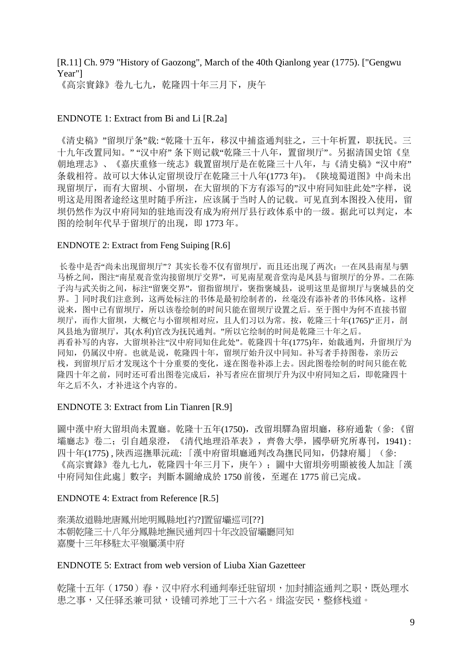### [R.11] Ch. 979 "History of Gaozong", March of the 40th Qianlong year (1775). ["Gengwu Year"]

《高宗實錄》卷九七九,乾隆四十年三月下,庚午

#### ENDNOTE 1: Extract from Bi and Li [R.2a]

《清史稿》"留坝厅条"载: "乾隆十五年,移汉中捕盗通判驻之,三十年析置,职抚民。三 十九年改置同知。" "汉中府" 条下则记载"乾隆三十八年,置留坝厅"。另据清国史馆《皇 朝地理志》、《嘉庆重修一统志》载置留坝厅是在乾隆三十八年,与《清史稿》"汉中府" 条载相符。故可以大体认定留坝设厅在乾隆三十八年(1773 年)。《陕境蜀道图》中尚未出 现留坝厅,而有大留坝、小留坝,在大留坝的下方有添写的"汉中府同知驻此处"字样,说 明这是用图者途经这里时随手所注,应该属于当时人的记载。可见直到本图投入使用,留 坝仍然作为汉中府同知的驻地而没有成为府州厅县行政体系中的一级。据此可以判定,本 图的绘制年代早于留坝厅的出现,即 1773 年。

#### ENDNOTE 2: Extract from Feng Suiping [R.6]

长卷中是否"尚未出现留坝厅"?其实长卷不仅有留坝厅,而且还出现了两次:一在凤县南星与驷 马桥之间, 图注"南星观音堂沟接留坝厅交界", 可见南星观音堂沟是凤县与留坝厅的分界。二在陈 子沟与武关街之间,标注"留褒交界",留指留坝厅,褒指褒城县,说明这里是留坝厅与褒城县的交 界。]同时我们注意到,这两处标注的书体是最初绘制者的,丝毫没有添补者的书体风格。这样 说来,图中已有留坝厅,所以该卷绘制的时间只能在留坝厅设置之后。至于图中为何不直接书留 坝厅,而作大留坝,大概它与小留坝相对应,且人们习以为常。按,乾隆三十年(1765)"正月,剖 凤县地为留坝厅,其(水利)官改为抚民通判。"所以它绘制的时间是乾隆三十年之后。 再看补写的内容,大留坝补注"汉中府同知住此处"。乾隆四十年(1775)年,始裁通判,升留坝厅为 同知,仍属汉中府。也就是说,乾隆四十年,留坝厅始升汉中同知。补写者手持图卷,亲历云 栈,到留坝厅后才发现这个十分重要的变化,遂在图卷补添上去。因此图卷绘制的时间只能在乾 隆四十年之前,同时还可看出图卷完成后,补写者应在留坝厅升为汉中府同知之后,即乾隆四十 年之后不久,才补进这个内容的。

#### ENDNOTE 3: Extract from Lin Tianren [R.9]

圖中漢中府大留垻尚未置廳。乾隆十五年(1750),改留垻驛為留垻廳,移府通紮(參:《留 壩廳志》卷二;引自趙泉澄,《清代地理沿革表》,齊魯大學,國學研究所專刊,1941) : 四十年(1775) , 陝西巡撫畢沅疏: 「漢中府留垻廳通判改為撫民同知,仍隸府屬」(參: 《高宗實錄》卷九七九,乾隆四十年三月下,庚午);圖中大留垻旁明顯被後人加註「漢 中府同知住此處」數字;判斷本圖繪成於 1750 前後,至遲在 1775 前已完成。

#### ENDNOTE 4: Extract from Reference [R.5]

秦漢故道縣地唐鳳州地明鳳縣地[礿?]置留壩巡司[??] 本朝乾隆三十八年分鳳縣地撫民通判四十年改設留壩廳同知 嘉慶十三年移駐太平嶺屬漢中府

#### ENDNOTE 5: Extract from web version of Liuba Xian Gazetteer

乾隆十五年(1750)春,汉中府水利涌判奉迁驻留坝,加封捕盗涌判之职,既处理水 患之事,又任驿丞兼司狱,设铺司养地丁三十六名。缉盗安民,整修栈道。